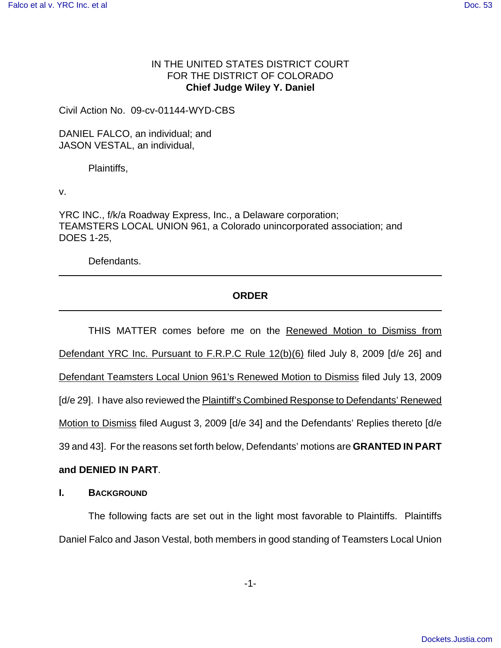### IN THE UNITED STATES DISTRICT COURT FOR THE DISTRICT OF COLORADO **Chief Judge Wiley Y. Daniel**

Civil Action No. 09-cv-01144-WYD-CBS

DANIEL FALCO, an individual; and JASON VESTAL, an individual,

Plaintiffs,

v.

YRC INC., f/k/a Roadway Express, Inc., a Delaware corporation; TEAMSTERS LOCAL UNION 961, a Colorado unincorporated association; and DOES 1-25,

Defendants.

# **ORDER**

THIS MATTER comes before me on the Renewed Motion to Dismiss from Defendant YRC Inc. Pursuant to F.R.P.C Rule 12(b)(6) filed July 8, 2009 [d/e 26] and Defendant Teamsters Local Union 961's Renewed Motion to Dismiss filed July 13, 2009 [d/e 29]. I have also reviewed the **Plaintiff's Combined Response to Defendants' Renewed** Motion to Dismiss filed August 3, 2009 [d/e 34] and the Defendants' Replies thereto [d/e 39 and 43]. For the reasons set forth below, Defendants' motions are **GRANTED IN PART**

## **and DENIED IN PART**.

### **I. BACKGROUND**

The following facts are set out in the light most favorable to Plaintiffs. Plaintiffs Daniel Falco and Jason Vestal, both members in good standing of Teamsters Local Union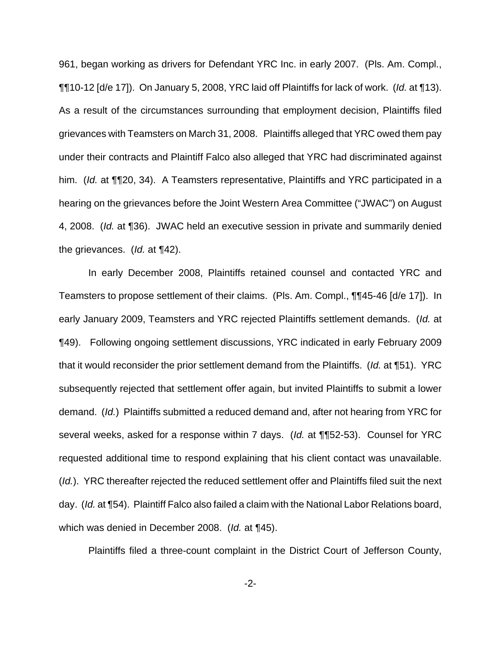961, began working as drivers for Defendant YRC Inc. in early 2007. (Pls. Am. Compl., ¶¶10-12 [d/e 17]). On January 5, 2008, YRC laid off Plaintiffs for lack of work. (Id. at ¶13). As a result of the circumstances surrounding that employment decision, Plaintiffs filed grievances with Teamsters on March 31, 2008. Plaintiffs alleged that YRC owed them pay under their contracts and Plaintiff Falco also alleged that YRC had discriminated against him. (Id. at ¶¶20, 34). A Teamsters representative, Plaintiffs and YRC participated in a hearing on the grievances before the Joint Western Area Committee ("JWAC") on August 4, 2008. (Id. at ¶36). JWAC held an executive session in private and summarily denied the grievances. (Id. at ¶42).

In early December 2008, Plaintiffs retained counsel and contacted YRC and Teamsters to propose settlement of their claims. (Pls. Am. Compl., ¶¶45-46 [d/e 17]). In early January 2009, Teamsters and YRC rejected Plaintiffs settlement demands. (Id. at ¶49). Following ongoing settlement discussions, YRC indicated in early February 2009 that it would reconsider the prior settlement demand from the Plaintiffs. (Id. at ¶51). YRC subsequently rejected that settlement offer again, but invited Plaintiffs to submit a lower demand. (Id.) Plaintiffs submitted a reduced demand and, after not hearing from YRC for several weeks, asked for a response within 7 days. (Id. at ¶¶52-53). Counsel for YRC requested additional time to respond explaining that his client contact was unavailable. (*Id.*). YRC thereafter rejected the reduced settlement offer and Plaintiffs filed suit the next day. (Id. at ¶54). Plaintiff Falco also failed a claim with the National Labor Relations board, which was denied in December 2008. (Id. at ¶45).

Plaintiffs filed a three-count complaint in the District Court of Jefferson County,

-2-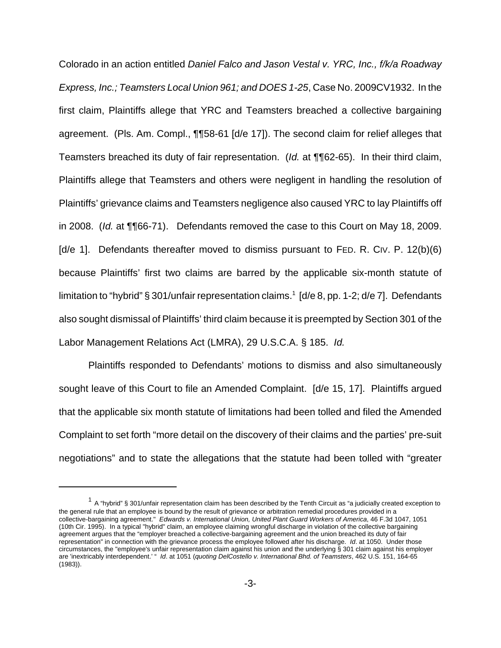Colorado in an action entitled Daniel Falco and Jason Vestal v. YRC, Inc., f/k/a Roadway Express, Inc.; Teamsters Local Union 961; and DOES 1-25, Case No. 2009CV1932. In the first claim, Plaintiffs allege that YRC and Teamsters breached a collective bargaining agreement. (Pls. Am. Compl., ¶¶58-61 [d/e 17]). The second claim for relief alleges that Teamsters breached its duty of fair representation. (Id. at ¶¶62-65). In their third claim, Plaintiffs allege that Teamsters and others were negligent in handling the resolution of Plaintiffs' grievance claims and Teamsters negligence also caused YRC to lay Plaintiffs off in 2008. (Id. at ¶¶66-71). Defendants removed the case to this Court on May 18, 2009. [d/e 1]. Defendants thereafter moved to dismiss pursuant to FED. R. CIV. P. 12(b)(6) because Plaintiffs' first two claims are barred by the applicable six-month statute of limitation to "hybrid" § 301/unfair representation claims.<sup>1</sup> [d/e 8, pp. 1-2; d/e 7]. Defendants also sought dismissal of Plaintiffs' third claim because it is preempted by Section 301 of the Labor Management Relations Act (LMRA), 29 U.S.C.A. § 185. Id.

Plaintiffs responded to Defendants' motions to dismiss and also simultaneously sought leave of this Court to file an Amended Complaint. [d/e 15, 17]. Plaintiffs argued that the applicable six month statute of limitations had been tolled and filed the Amended Complaint to set forth "more detail on the discovery of their claims and the parties' pre-suit negotiations" and to state the allegations that the statute had been tolled with "greater

 $1$  A "hybrid" § 301/unfair representation claim has been described by the Tenth Circuit as "a judicially created exception to the general rule that an employee is bound by the result of grievance or arbitration remedial procedures provided in a collective-bargaining agreement." Edwards v. International Union, United Plant Guard Workers of America, 46 F.3d 1047, 1051 (10th Cir. 1995). In a typical "hybrid" claim, an employee claiming wrongful discharge in violation of the collective bargaining agreement argues that the "employer breached a collective-bargaining agreement and the union breached its duty of fair representation" in connection with the grievance process the employee followed after his discharge. Id. at 1050. Under those circumstances, the "employee's unfair representation claim against his union and the underlying § 301 claim against his employer are 'inextricably interdependent.' " Id. at 1051 (quoting DelCostello v. International Bhd. of Teamsters, 462 U.S. 151, 164-65 (1983)).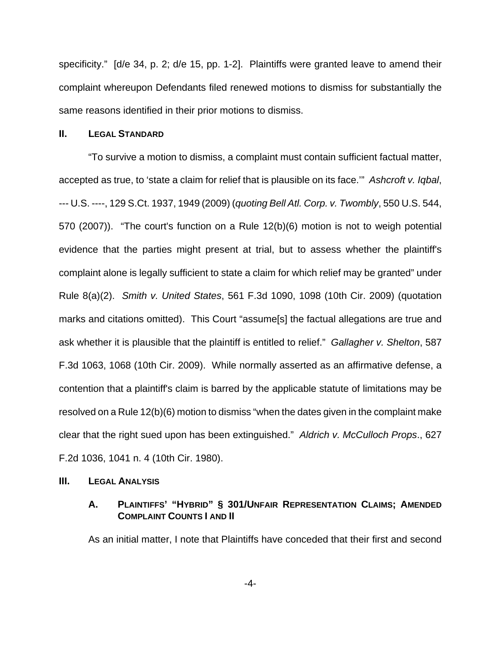specificity." [d/e 34, p. 2; d/e 15, pp. 1-2]. Plaintiffs were granted leave to amend their complaint whereupon Defendants filed renewed motions to dismiss for substantially the same reasons identified in their prior motions to dismiss.

#### **II. LEGAL STANDARD**

"To survive a motion to dismiss, a complaint must contain sufficient factual matter, accepted as true, to 'state a claim for relief that is plausible on its face.'" Ashcroft v. Iqbal, --- U.S. ----, 129 S.Ct. 1937, 1949 (2009) (quoting Bell Atl. Corp. v. Twombly, 550 U.S. 544, 570 (2007)). "The court's function on a Rule 12(b)(6) motion is not to weigh potential evidence that the parties might present at trial, but to assess whether the plaintiff's complaint alone is legally sufficient to state a claim for which relief may be granted" under Rule 8(a)(2). Smith v. United States, 561 F.3d 1090, 1098 (10th Cir. 2009) (quotation marks and citations omitted). This Court "assume[s] the factual allegations are true and ask whether it is plausible that the plaintiff is entitled to relief." Gallagher v. Shelton, 587 F.3d 1063, 1068 (10th Cir. 2009). While normally asserted as an affirmative defense, a contention that a plaintiff's claim is barred by the applicable statute of limitations may be resolved on a Rule 12(b)(6) motion to dismiss "when the dates given in the complaint make clear that the right sued upon has been extinguished." Aldrich v. McCulloch Props., 627 F.2d 1036, 1041 n. 4 (10th Cir. 1980).

#### **III.** LEGAL **A**NALYSIS

### **A. PLAINTIFFS' "HYBRID" § 301/UNFAIR REPRESENTATION CLAIMS; AMENDED COMPLAINT COUNTS I AND II**

As an initial matter, I note that Plaintiffs have conceded that their first and second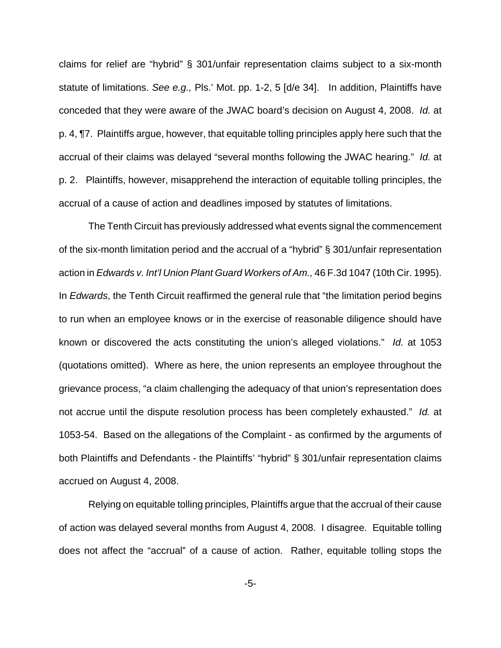claims for relief are "hybrid" § 301/unfair representation claims subject to a six-month statute of limitations. See e.g., Pls.' Mot. pp. 1-2, 5 [d/e 34]. In addition, Plaintiffs have conceded that they were aware of the JWAC board's decision on August 4, 2008. Id. at p. 4, ¶7. Plaintiffs argue, however, that equitable tolling principles apply here such that the accrual of their claims was delayed "several months following the JWAC hearing." Id. at p. 2. Plaintiffs, however, misapprehend the interaction of equitable tolling principles, the accrual of a cause of action and deadlines imposed by statutes of limitations.

The Tenth Circuit has previously addressed what events signal the commencement of the six-month limitation period and the accrual of a "hybrid" § 301/unfair representation action in Edwards v. Int'l Union Plant Guard Workers of Am., 46 F.3d 1047 (10th Cir. 1995). In *Edwards*, the Tenth Circuit reaffirmed the general rule that "the limitation period begins to run when an employee knows or in the exercise of reasonable diligence should have known or discovered the acts constituting the union's alleged violations." Id. at 1053 (quotations omitted). Where as here, the union represents an employee throughout the grievance process, "a claim challenging the adequacy of that union's representation does not accrue until the dispute resolution process has been completely exhausted." Id. at 1053-54. Based on the allegations of the Complaint - as confirmed by the arguments of both Plaintiffs and Defendants - the Plaintiffs' "hybrid" § 301/unfair representation claims accrued on August 4, 2008.

Relying on equitable tolling principles, Plaintiffs argue that the accrual of their cause of action was delayed several months from August 4, 2008. I disagree. Equitable tolling does not affect the "accrual" of a cause of action. Rather, equitable tolling stops the

-5-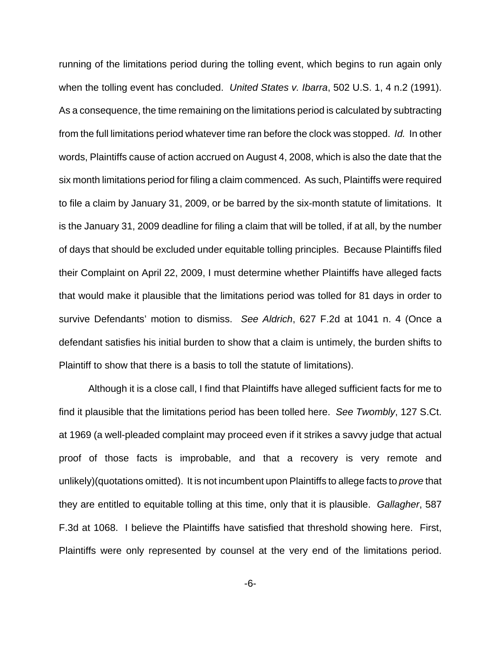running of the limitations period during the tolling event, which begins to run again only when the tolling event has concluded. United States v. Ibarra, 502 U.S. 1, 4 n.2 (1991). As a consequence, the time remaining on the limitations period is calculated by subtracting from the full limitations period whatever time ran before the clock was stopped. Id. In other words, Plaintiffs cause of action accrued on August 4, 2008, which is also the date that the six month limitations period for filing a claim commenced. As such, Plaintiffs were required to file a claim by January 31, 2009, or be barred by the six-month statute of limitations. It is the January 31, 2009 deadline for filing a claim that will be tolled, if at all, by the number of days that should be excluded under equitable tolling principles. Because Plaintiffs filed their Complaint on April 22, 2009, I must determine whether Plaintiffs have alleged facts that would make it plausible that the limitations period was tolled for 81 days in order to survive Defendants' motion to dismiss. See Aldrich, 627 F.2d at 1041 n. 4 (Once a defendant satisfies his initial burden to show that a claim is untimely, the burden shifts to Plaintiff to show that there is a basis to toll the statute of limitations).

Although it is a close call, I find that Plaintiffs have alleged sufficient facts for me to find it plausible that the limitations period has been tolled here. See Twombly, 127 S.Ct. at 1969 (a well-pleaded complaint may proceed even if it strikes a savvy judge that actual proof of those facts is improbable, and that a recovery is very remote and unlikely)(quotations omitted). It is not incumbent upon Plaintiffs to allege facts to *prove* that they are entitled to equitable tolling at this time, only that it is plausible. Gallagher, 587 F.3d at 1068. I believe the Plaintiffs have satisfied that threshold showing here. First, Plaintiffs were only represented by counsel at the very end of the limitations period.

-6-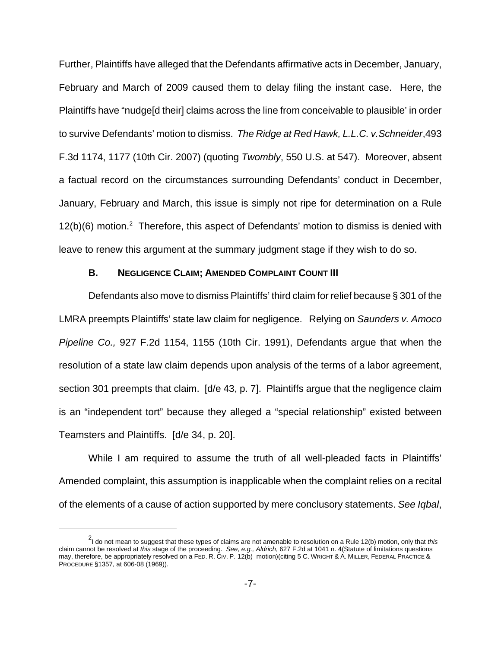Further, Plaintiffs have alleged that the Defendants affirmative acts in December, January, February and March of 2009 caused them to delay filing the instant case. Here, the Plaintiffs have "nudge[d their] claims across the line from conceivable to plausible' in order to survive Defendants' motion to dismiss. The Ridge at Red Hawk, L.L.C. v.Schneider,493 F.3d 1174, 1177 (10th Cir. 2007) (quoting Twombly, 550 U.S. at 547). Moreover, absent a factual record on the circumstances surrounding Defendants' conduct in December, January, February and March, this issue is simply not ripe for determination on a Rule  $12(b)(6)$  motion.<sup>2</sup> Therefore, this aspect of Defendants' motion to dismiss is denied with leave to renew this argument at the summary judgment stage if they wish to do so.

#### **B. NEGLIGENCE CLAIM; AMENDED COMPLAINT COUNT III**

Defendants also move to dismiss Plaintiffs' third claim for relief because § 301 of the LMRA preempts Plaintiffs' state law claim for negligence. Relying on Saunders v. Amoco Pipeline Co., 927 F.2d 1154, 1155 (10th Cir. 1991), Defendants argue that when the resolution of a state law claim depends upon analysis of the terms of a labor agreement, section 301 preempts that claim. [d/e 43, p. 7]. Plaintiffs argue that the negligence claim is an "independent tort" because they alleged a "special relationship" existed between Teamsters and Plaintiffs. [d/e 34, p. 20].

While I am required to assume the truth of all well-pleaded facts in Plaintiffs' Amended complaint, this assumption is inapplicable when the complaint relies on a recital of the elements of a cause of action supported by mere conclusory statements. See Iqbal,

<sup>&</sup>lt;sup>2</sup>I do not mean to suggest that these types of claims are not amenable to resolution on a Rule 12(b) motion, only that *this* claim cannot be resolved at this stage of the proceeding. See, e.g., Aldrich, 627 F.2d at 1041 n. 4(Statute of limitations questions may, therefore, be appropriately resolved on a FED. R. CIV. P. 12(b) motion)(citing 5 C. WRIGHT & A. MILLER, FEDERAL PRACTICE & PROCEDURE §1357, at 606-08 (1969)).